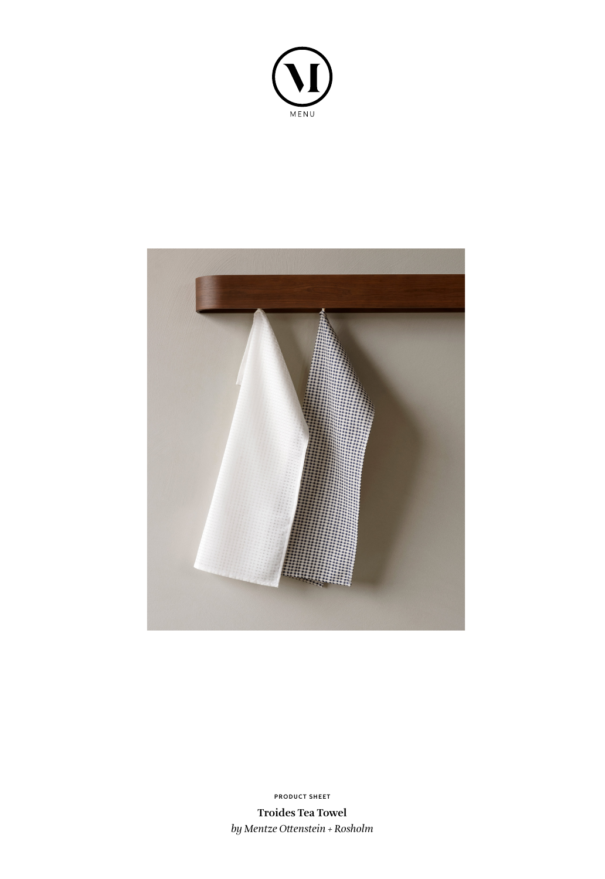



**PRODUCT SHEET**

**Troides Tea Towel** *by Mentze Ottenstein + Rosholm*